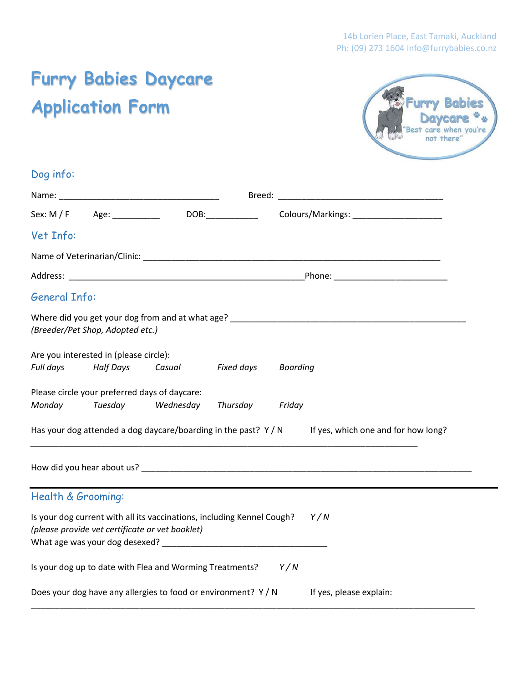# **Furry Babies Daycare Application Form**



| Dog info:            |                                                            |                                                                                                                                                                                                                                                                                                                                                             |            |                 |                                                                                                     |  |
|----------------------|------------------------------------------------------------|-------------------------------------------------------------------------------------------------------------------------------------------------------------------------------------------------------------------------------------------------------------------------------------------------------------------------------------------------------------|------------|-----------------|-----------------------------------------------------------------------------------------------------|--|
|                      |                                                            |                                                                                                                                                                                                                                                                                                                                                             |            |                 |                                                                                                     |  |
|                      |                                                            | $Sex: M / F$ Age: DOB:                                                                                                                                                                                                                                                                                                                                      |            |                 | Colours/Markings: ______________________                                                            |  |
| Vet Info:            |                                                            |                                                                                                                                                                                                                                                                                                                                                             |            |                 |                                                                                                     |  |
|                      |                                                            |                                                                                                                                                                                                                                                                                                                                                             |            |                 |                                                                                                     |  |
|                      |                                                            |                                                                                                                                                                                                                                                                                                                                                             |            |                 |                                                                                                     |  |
| <b>General Info:</b> |                                                            |                                                                                                                                                                                                                                                                                                                                                             |            |                 |                                                                                                     |  |
|                      | (Breeder/Pet Shop, Adopted etc.)                           |                                                                                                                                                                                                                                                                                                                                                             |            |                 |                                                                                                     |  |
| Full days            | Are you interested in (please circle):<br><b>Half Days</b> | Casual                                                                                                                                                                                                                                                                                                                                                      | Fixed days | <b>Boarding</b> |                                                                                                     |  |
| Monday               | Please circle your preferred days of daycare:<br>Tuesday   | Wednesday                                                                                                                                                                                                                                                                                                                                                   | Thursday   | Friday          |                                                                                                     |  |
|                      |                                                            |                                                                                                                                                                                                                                                                                                                                                             |            |                 | Has your dog attended a dog daycare/boarding in the past? $Y/N$ If yes, which one and for how long? |  |
|                      |                                                            |                                                                                                                                                                                                                                                                                                                                                             |            |                 |                                                                                                     |  |
| Health & Grooming:   |                                                            |                                                                                                                                                                                                                                                                                                                                                             |            |                 |                                                                                                     |  |
|                      |                                                            | Is your dog current with all its vaccinations, including Kennel Cough?<br>(please provide vet certificate or vet booklet)<br>What age was your dog desexed? Notice that the control of the set of the control of the control of the control of the control of the control of the control of the control of the control of the control of the control of the |            |                 | Y/N                                                                                                 |  |
|                      |                                                            | Is your dog up to date with Flea and Worming Treatments?                                                                                                                                                                                                                                                                                                    |            | Y/N             |                                                                                                     |  |
|                      |                                                            | Does your dog have any allergies to food or environment? Y / N                                                                                                                                                                                                                                                                                              |            |                 | If yes, please explain:                                                                             |  |

\_\_\_\_\_\_\_\_\_\_\_\_\_\_\_\_\_\_\_\_\_\_\_\_\_\_\_\_\_\_\_\_\_\_\_\_\_\_\_\_\_\_\_\_\_\_\_\_\_\_\_\_\_\_\_\_\_\_\_\_\_\_\_\_\_\_\_\_\_\_\_\_\_\_\_\_\_\_\_\_\_\_\_\_\_\_\_\_\_\_\_\_\_\_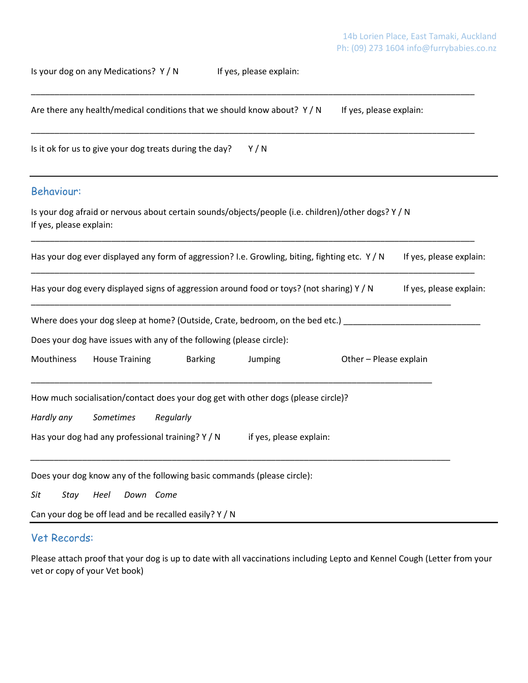Is your dog on any Medications? Y / N If yes, please explain:

| Are there any health/medical conditions that we should know about? $Y/N$<br>If yes, please explain:                            |  |  |  |  |  |  |  |
|--------------------------------------------------------------------------------------------------------------------------------|--|--|--|--|--|--|--|
| Is it ok for us to give your dog treats during the day?<br>Y/N                                                                 |  |  |  |  |  |  |  |
| <b>Behaviour:</b>                                                                                                              |  |  |  |  |  |  |  |
| Is your dog afraid or nervous about certain sounds/objects/people (i.e. children)/other dogs? Y / N<br>If yes, please explain: |  |  |  |  |  |  |  |
| Has your dog ever displayed any form of aggression? I.e. Growling, biting, fighting etc. Y / N<br>If yes, please explain:      |  |  |  |  |  |  |  |
| Has your dog every displayed signs of aggression around food or toys? (not sharing) Y / N<br>If yes, please explain:           |  |  |  |  |  |  |  |
| Where does your dog sleep at home? (Outside, Crate, bedroom, on the bed etc.) ______________________                           |  |  |  |  |  |  |  |
| Does your dog have issues with any of the following (please circle):                                                           |  |  |  |  |  |  |  |
| Mouthiness<br><b>House Training</b><br><b>Barking</b><br>Jumping<br>Other - Please explain                                     |  |  |  |  |  |  |  |
| How much socialisation/contact does your dog get with other dogs (please circle)?<br>Sometimes<br>Hardly any<br>Regularly      |  |  |  |  |  |  |  |
| Has your dog had any professional training? Y / N<br>if yes, please explain:                                                   |  |  |  |  |  |  |  |
| Does your dog know any of the following basic commands (please circle):<br>Sit<br>Stay<br>Heel<br>Down Come                    |  |  |  |  |  |  |  |

Can your dog be off lead and be recalled easily? Y / N

## Vet Records:

Please attach proof that your dog is up to date with all vaccinations including Lepto and Kennel Cough (Letter from your vet or copy of your Vet book)